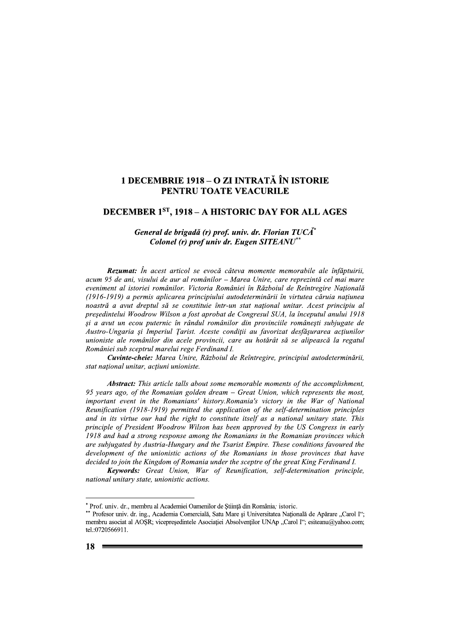## 1 DECEMBRIE 1918 – O ZI INTRATĂ ÎN ISTORIE PENTRU TOATE VEACURILE

## DECEMBER 1ST, 1918 - A HISTORIC DAY FOR ALL AGES

## General de brigadă (r) prof. univ. dr. Florian TUCĂ\* Colonel (r) prof univ dr. Eugen SITEANU<sup>\*</sup>

Rezumat: În acest articol se evocă câteva momente memorabile ale înfăptuirii, acum 95 de ani, visului de aur al românilor – Marea Unire, care reprezintă cel mai mare eveniment al istoriei românilor. Victoria României în Războiul de Reîntregire Natională (1916-1919) a permis aplicarea principiului autodeterminării în virtutea căruia natiunea noastră a avut dreptul să se constituie într-un stat national unitar. Acest principiu al presedintelui Woodrow Wilson a fost aprobat de Congresul SUA, la începutul anului 1918 și a avut un ecou puternic în rândul românilor din provinciile românești subjugate de Austro-Ungaria și Imperiul Țarist. Aceste condiții au favorizat desfășurarea acțiunilor unioniste ale românilor din acele provincii, care au hotărât să se alipească la regatul României sub sceptrul marelui rege Ferdinand I.

Cuvinte-cheie: Marea Unire, Războiul de Reîntregire, principiul autodeterminării, stat national unitar, actiuni unioniste.

**Abstract:** This article talls about some memorable moments of the accomplishment, 95 years ago, of the Romanian golden dream – Great Union, which represents the most, important event in the Romanians' history.Romania's victory in the War of National Reunification (1918-1919) permitted the application of the self-determination principles and in its virtue our had the right to constitute itself as a national unitary state. This principle of President Woodrow Wilson has been approved by the US Congress in early 1918 and had a strong response among the Romanians in the Romanian provinces which are subjugated by Austria-Hungary and the Tsarist Empire. These conditions favoured the development of the unionistic actions of the Romanians in those provinces that have decided to join the Kingdom of Romania under the sceptre of the great King Ferdinand I.

Keywords: Great Union, War of Reunification, self-determination principle, national unitary state, unionistic actions.

<sup>\*</sup> Prof. univ. dr., membru al Academiei Oamenilor de Știință din România; istoric.

<sup>\*\*</sup> Profesor univ. dr. ing., Academia Comercială, Satu Mare și Universitatea Națională de Apărare "Carol I"; membru asociat al AOSR; vicepresedintele Asociației Absolvenților UNAp "Carol I"; esiteanu@yahoo.com; tel.:0720566911.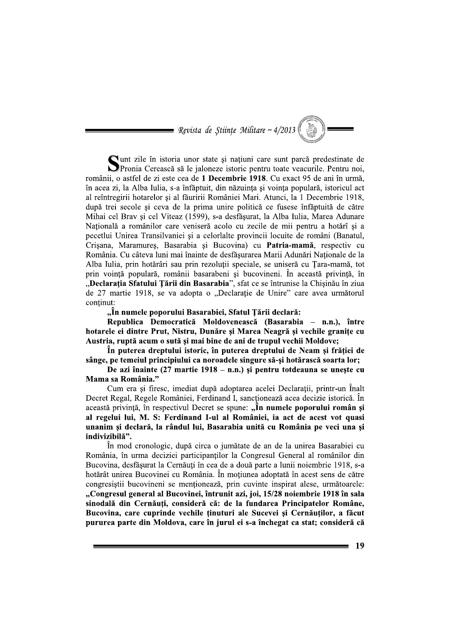= Revista de Stiințe Militare ~ 4/2013

Cunt zile în istoria unor state și națiuni care sunt parcă predestinate de Pronia Cerească să le jaloneze istoric pentru toate veacurile. Pentru noi, românii, o astfel de zi este cea de 1 Decembrie 1918. Cu exact 95 de ani în urmă, în acea zi, la Alba Iulia, s-a înfăptuit, din năzuința și voința populară, istoricul act al reîntregirii hotarelor și al făuririi României Mari. Atunci, la 1 Decembrie 1918, după trei secole și ceva de la prima unire politică ce fusese înfăptuită de către Mihai cel Brav și cel Viteaz (1599), s-a desfășurat, la Alba Iulia, Marea Adunare Natională a românilor care veniseră acolo cu zecile de mii pentru a hotărî și a pecetlui Unirea Transilvaniei și a celorlalte provincii locuite de români (Banatul, Crisana, Maramures, Basarabia și Bucovina) cu Patria-mamă, respectiv cu România. Cu câteva luni mai înainte de desfăsurarea Marii Adunări Nationale de la Alba Iulia, prin hotărâri sau prin rezoluții speciale, se uniseră cu Țara-mamă, tot prin vointă populară, românii basarabeni și bucovineni. În această privintă, în "Declarația Sfatului Țării din Basarabia", sfat ce se întrunise la Chișinău în ziua de 27 martie 1918, se va adopta o "Declarație de Unire" care avea următorul continut:

"În numele poporului Basarabiei, Sfatul Țării declară:

Republica Democratică Moldovenească (Basarabia – n.n.), între hotarele ei dintre Prut, Nistru, Dunăre și Marea Neagră și vechile granițe cu Austria, ruptă acum o sută și mai bine de ani de trupul vechii Moldove;

În puterea dreptului istoric, în puterea dreptului de Neam și frăției de sânge, pe temeiul principiului ca noroadele singure să-si hotărască soarta lor;

De azi înainte  $(27 \text{ martie } 1918 - \text{n.n.})$  și pentru totdeauna se uneste cu Mama sa România."

Cum era și firesc, imediat după adoptarea acelei Declarații, printr-un Înalt Decret Regal, Regele României, Ferdinand I, sancționează acea decizie istorică. În această privință, în respectivul Decret se spune: "În numele poporului român și al regelui lui, M. S: Ferdinand I-ul al României, ia act de acest vot quasi unanim și declară, la rândul lui, Basarabia unită cu România pe veci una și indivizibilă".

În mod cronologic, după circa o jumătate de an de la unirea Basarabiei cu România, în urma deciziei participanților la Congresul General al românilor din Bucovina, desfășurat la Cernăuți în cea de a două parte a lunii noiembrie 1918, s-a hotărât unirea Bucovinei cu România. În moțiunea adoptată în acest sens de către congresistii bucovineni se mentionează, prin cuvinte inspirat alese, următoarele: "Congresul general al Bucovinei, întrunit azi, ioi, 15/28 noiembrie 1918 în sala sinodală din Cernăuți, consideră că: de la fundarea Principatelor Române, Bucovina, care cuprinde vechile tinuturi ale Sucevei si Cernăutilor, a făcut pururea parte din Moldova, care în jurul ei s-a închegat ca stat; consideră că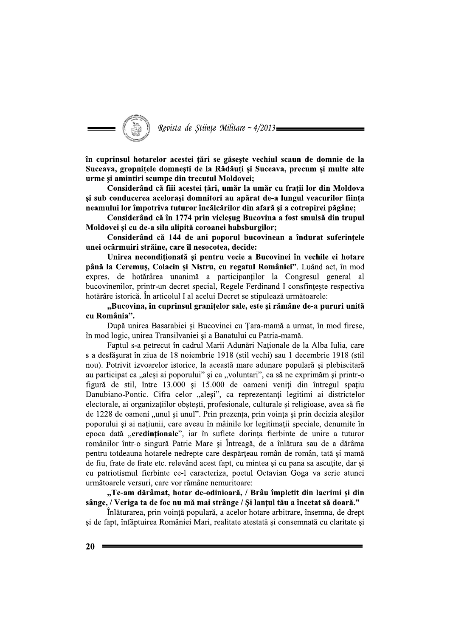

în cuprinsul hotarelor acestei țări se găsește vechiul scaun de domnie de la Suceava, gropnițele domnești de la Rădăuți și Suceava, precum și multe alte urme și amintiri scumpe din trecutul Moldovei;

Considerând că fiii acestei țări, umăr la umăr cu frații lor din Moldova și sub conducerea acelorași domnitori au apărat de-a lungul veacurilor ființa neamului lor împotriva tuturor încălcărilor din afară și a cotropirei păgâne;

Considerând că în 1774 prin vicleșug Bucovina a fost smulsă din trupul Moldovei și cu de-a sila alipită coroanei habsburgilor;

Considerând că 144 de ani poporul bucovinean a îndurat suferintele unei ocârmuiri străine, care îl nesocotea, decide:

Unirea necondiționată și pentru vecie a Bucovinei în vechile ei hotare până la Ceremus, Colacin și Nistru, cu regatul României". Luând act, în mod expres, de hotărârea unanimă a participanților la Congresul general al bucovinenilor, printr-un decret special, Regele Ferdinand I consfinteste respectiva hotărâre istorică. În articolul I al acelui Decret se stipulează următoarele:

"Bucovina, în cuprinsul granițelor sale, este și rămâne de-a pururi unită cu România".

După unirea Basarabiei și Bucovinei cu Tara-mamă a urmat, în mod firesc, în mod logic, unirea Transilvaniei și a Banatului cu Patria-mamă.

Faptul s-a petrecut în cadrul Marii Adunări Nationale de la Alba Iulia, care s-a desfășurat în ziua de 18 noiembrie 1918 (stil vechi) sau 1 decembrie 1918 (stil nou). Potrivit izvoarelor istorice, la această mare adunare populară și plebiscitară au participat ca "aleși ai poporului" și ca "voluntari", ca să ne exprimăm și printr-o figură de stil, între 13.000 și 15.000 de oameni veniți din întregul spațiu Danubiano-Pontic. Cifra celor "aleși", ca reprezentanți legitimi ai districtelor electorale, ai organizațiilor obștești, profesionale, culturale și religioase, avea să fie de 1228 de oameni "unul și unul". Prin prezența, prin voința și prin decizia aleșilor poporului și ai națiunii, care aveau în mâinile lor legitimații speciale, denumite în epoca dată "credinționale", iar în suflete dorința fierbinte de unire a tuturor românilor într-o singură Patrie Mare și Întreagă, de a înlătura sau de a dărâma pentru totdeauna hotarele nedrepte care despărteau român de român, tată și mamă de fiu, frate de frate etc. relevând acest fapt, cu mintea și cu pana sa ascuțite, dar și cu patriotismul fierbinte ce-l caracteriza, poetul Octavian Goga va scrie atunci următoarele versuri, care vor rămâne nemuritoare:

"Te-am dărâmat, hotar de-odinioară, / Brâu împletit din lacrimi și din sânge, / Veriga ta de foc nu mă mai strânge / Si lantul tău a încetat să doară."

Înlăturarea, prin voință populară, a acelor hotare arbitrare, însemna, de drept și de fapt, înfăptuirea României Mari, realitate atestată și consemnată cu claritate și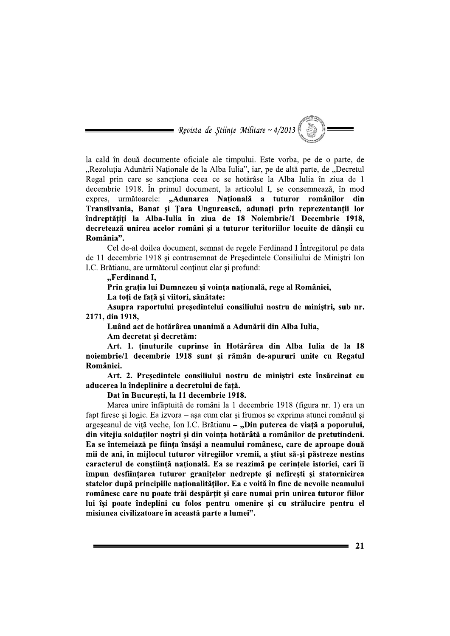$\implies$  Revista de Științe Militare ~ 4/2013 (

la cald în două documente oficiale ale timpului. Este vorba, pe de o parte, de "Rezoluția Adunării Naționale de la Alba Iulia", iar, pe de altă parte, de "Decretul Regal prin care se sanctiona ceea ce se hotărâse la Alba Iulia în ziua de 1 decembrie 1918. În primul document, la articolul I, se consemnează, în mod expres, următoarele: "Adunarea Națională a tuturor românilor din Transilvania, Banat și Țara Ungurească, adunați prin reprezentanții lor îndreptățiți la Alba-Iulia în ziua de 18 Noiembrie/1 Decembrie 1918, decretează unirea acelor români și a tuturor teritoriilor locuite de dânșii cu România".

Cel de-al doilea document, semnat de regele Ferdinand I Întregitorul pe data de 11 decembrie 1918 și contrasemnat de Președintele Consiliului de Miniștri Ion I.C. Brătianu, are următorul conținut clar și profund:

"Ferdinand I.

Prin grația lui Dumnezeu și voința națională, rege al României, La toți de față și viitori, sănătate:

Asupra raportului președintelui consiliului nostru de miniștri, sub nr. 2171, din 1918,

Luând act de hotărârea unanimă a Adunării din Alba Iulia,

Am decretat si decretăm:

Art. 1. tinuturile cuprinse în Hotărârea din Alba Iulia de la 18 noiembrie/1 decembrie 1918 sunt și rămân de-apururi unite cu Regatul României.

Art. 2. Președintele consiliului nostru de miniștri este însărcinat cu aducerea la îndeplinire a decretului de fată.

Dat în București, la 11 decembrie 1918.

Marea unire înfăptuită de români la 1 decembrie 1918 (figura nr. 1) era un fapt firesc și logic. Ea izvora – așa cum clar și frumos se exprima atunci românul și argeșeanul de viță veche, Ion I.C. Brătianu – "Din puterea de viață a poporului, din vitejia soldatilor nostri si din vointa hotărâtă a românilor de pretutindeni. Ea se întemeiază pe fiinta însăsi a neamului românesc, care de aproape două mii de ani, în mijlocul tuturor vitregiilor vremii, a știut să-și păstreze nestins caracterul de constiință națională. Ea se reazimă pe cerințele istoriei, cari îi impun desființarea tuturor granițelor nedrepte și nefirești și statornicirea statelor după principiile naționalităților. Ea e voită în fine de nevoile neamului românesc care nu poate trăi despărtit și care numai prin unirea tuturor fiilor lui își poate îndeplini cu folos pentru omenire și cu strălucire pentru el misiunea civilizatoare în această parte a lumei".

21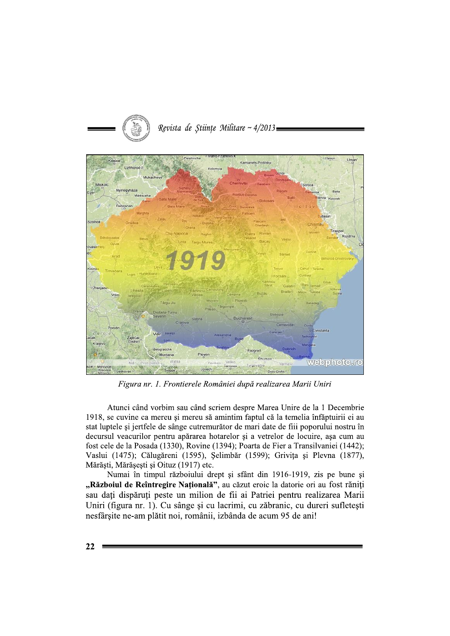

Revista de Stiințe Militare ~ 4/2013

Figura nr. 1. Frontierele României după realizarea Marii Uniri

Atunci când vorbim sau când scriem despre Marea Unire de la 1 Decembrie 1918, se cuvine ca mereu și mereu să amintim faptul că la temelia înfăptuirii ei au stat luptele și jertfele de sânge cutremurător de mari date de fiii poporului nostru în decursul veacurilor pentru apărarea hotarelor și a vetrelor de locuire, așa cum au fost cele de la Posada (1330), Rovine (1394); Poarta de Fier a Transilvaniei (1442); Vaslui (1475); Călugăreni (1595), Șelimbăr (1599); Grivița și Plevna (1877), Mărăști, Mărășești și Oituz (1917) etc.

Numai în timpul războiului drept și sfânt din 1916-1919, zis pe bune și "Războiul de Reîntregire Națională", au căzut eroic la datorie ori au fost răniți sau dați dispăruți peste un milion de fii ai Patriei pentru realizarea Marii Uniri (figura nr. 1). Cu sânge și cu lacrimi, cu zăbranic, cu dureri sufletești nesfârșite ne-am plătit noi, românii, izbânda de acum 95 de ani!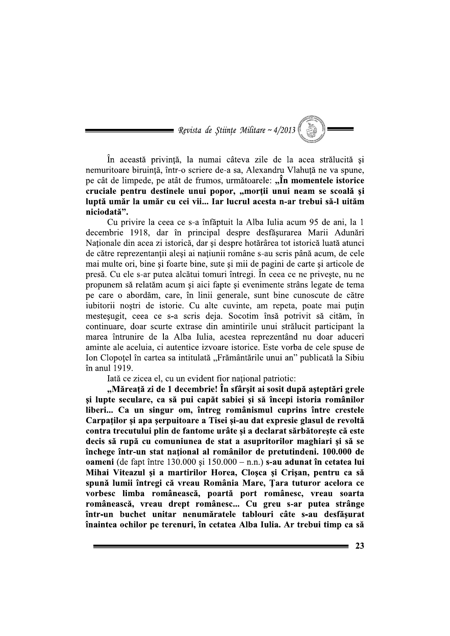$\hspace{1.5cm}$  Revista de Științe Militare ~ 4/2013 ( $\hspace{1.5cm}$ 

În această privință, la numai câteva zile de la acea strălucită și nemuritoare biruintă, într-o scriere de-a sa, Alexandru Vlahută ne va spune, pe cât de limpede, pe atât de frumos, următoarele: "În momentele istorice cruciale pentru destinele unui popor, "morții unui neam se scoală și luptă umăr la umăr cu cei vii... Iar lucrul acesta n-ar trebui să-l uităm niciodată".

Cu privire la ceea ce s-a înfăptuit la Alba Iulia acum 95 de ani, la 1 decembrie 1918, dar în principal despre desfășurarea Marii Adunări Naționale din acea zi istorică, dar și despre hotărârea tot istorică luată atunci de către reprezentanții aleși ai națiunii române s-au scris până acum, de cele mai multe ori, bine si foarte bine, sute si mii de pagini de carte si articole de presă. Cu ele s-ar putea alcătui tomuri întregi. În ceea ce ne privește, nu ne propunem să relatăm acum și aici fapte și evenimente strâns legate de tema pe care o abordăm, care, în linii generale, sunt bine cunoscute de către iubitorii noștri de istorie. Cu alte cuvinte, am repeta, poate mai puțin mestesugit, ceea ce s-a scris deja. Socotim însă potrivit să cităm, în continuare, doar scurte extrase din amintirile unui strălucit participant la marea întrunire de la Alba Iulia, acestea reprezentând nu doar aduceri aminte ale aceluia, ci autentice izvoare istorice. Este vorba de cele spuse de Ion Clopotel în cartea sa intitulată "Frământările unui an" publicată la Sibiu în anul 1919.

Iată ce zicea el, cu un evident fior national patriotic:

"Măreată zi de 1 decembrie! În sfârsit ai sosit după asteptări grele și lupte seculare, ca să pui capăt sabiei și să începi istoria românilor liberi... Ca un singur om, întreg românismul cuprins între crestele Carpaților și apa șerpuitoare a Tisei și-au dat expresie glasul de revoltă contra trecutului plin de fantome urâte și a declarat sărbătorește că este decis să rupă cu comuniunea de stat a asupritorilor maghiari și să se închege într-un stat national al românilor de pretutindeni. 100.000 de oameni (de fapt între 130.000 și 150.000 - n.n.) s-au adunat în cetatea lui Mihai Viteazul și a martirilor Horea, Cloșca și Crișan, pentru ca să spună lumii întregi că vreau România Mare, Țara tuturor acelora ce vorbesc limba românească, poartă port românesc, vreau soarta românească, vreau drept românesc... Cu greu s-ar putea strânge într-un buchet unitar nenumăratele tablouri câte s-au desfăsurat înaintea ochilor pe terenuri, în cetatea Alba Iulia. Ar trebui timp ca să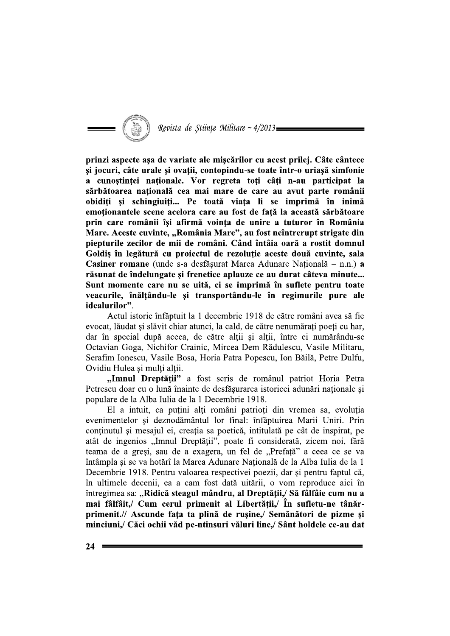

prinzi aspecte așa de variate ale mișcărilor cu acest prilej. Câte cântece și jocuri, câte urale și ovații, contopindu-se toate într-o uriașă simfonie a cunoștinței naționale. Vor regreta toți câți n-au participat la sărbătoarea națională cea mai mare de care au avut parte românii obiditi și schingiuiti... Pe toată viata li se imprimă în inimă emotionantele scene acelora care au fost de fată la această sărbătoare prin care românii își afirmă vointa de unire a tuturor în România Mare. Aceste cuvinte, "România Mare", au fost neîntrerupt strigate din piepturile zecilor de mii de români. Când întâia oară a rostit domnul Goldis în legătură cu proiectul de rezoluție aceste două cuvinte, sala Casiner romane (unde s-a desfăsurat Marea Adunare Natională – n.n.) a răsunat de îndelungate și frenetice aplauze ce au durat câteva minute... Sunt momente care nu se uită, ci se imprimă în suflete pentru toate veacurile, înălțându-le și transportându-le în regimurile pure ale idealurilor".

Actul istoric înfăptuit la 1 decembrie 1918 de către români avea să fie evocat, lăudat și slăvit chiar atunci, la cald, de către nenumărați poeți cu har, dar în special după aceea, de către alții și alții, între ei numărându-se Octavian Goga, Nichifor Crainic, Mircea Dem Rădulescu, Vasile Militaru, Serafim Ionescu, Vasile Bosa, Horia Patra Popescu, Ion Băilă, Petre Dulfu, Ovidiu Hulea si multi altii.

"Imnul Dreptății" a fost scris de românul patriot Horia Petra Petrescu doar cu o lună înainte de desfăsurarea istoricei adunări naționale și populare de la Alba Iulia de la 1 Decembrie 1918.

El a intuit, ca puțini alți români patrioți din vremea sa, evoluția evenimentelor si deznodământul lor final: înfăptuirea Marii Uniri. Prin continutul și mesajul ei, creația sa poetică, intitulată pe cât de inspirat, pe atât de ingenios "Imnul Dreptății", poate fi considerată, zicem noi, fără teama de a greși, sau de a exagera, un fel de "Prefață" a ceea ce se va întâmpla și se va hotărî la Marea Adunare Națională de la Alba Iulia de la 1 Decembrie 1918. Pentru valoarea respectivei poezii, dar si pentru faptul că, în ultimele decenii, ea a cam fost dată uitării, o vom reproduce aici în întregimea sa: "Ridică steagul mândru, al Dreptății,/ Să fâlfâie cum nu a mai fâlfâit, / Cum cerul primenit al Libertății, în sufletu-ne tânărprimenit.// Ascunde fața ta plină de rușine,/ Semănători de pizme și minciuni,/ Căci ochii văd pe-ntinsuri văluri line,/ Sânt holdele ce-au dat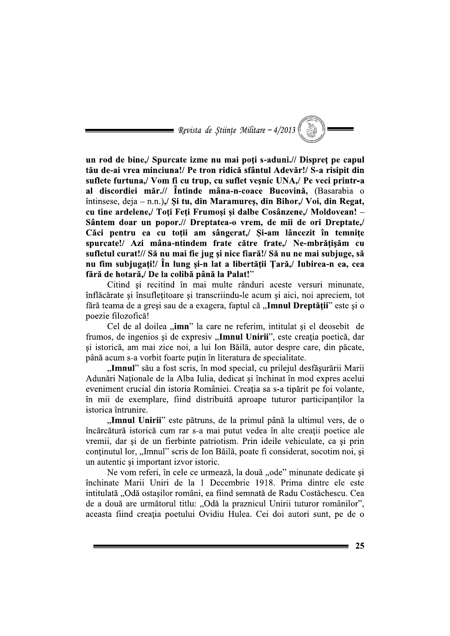Revista de Științe Militare ~ 4/2013

un rod de bine,/ Spurcate izme nu mai poți s-aduni.// Dispreț pe capul tău de-ai vrea minciuna!/ Pe tron ridică sfântul Adevăr!/ S-a risipit din suflete furtuna./ Vom fi cu trup, cu suflet vesnic UNA./ Pe veci printr-a al discordiei măr.// Întinde mâna-n-coace Bucovină, (Basarabia o întinsese, deja – n.n.),  $\chi$  is tu, din Maramures, din Bihor, Voi, din Regat, cu tine ardelene./ Toti Feti Frumosi și dalbe Cosânzene./ Moldovean! – Sântem doar un popor.// Dreptatea-o vrem, de mii de ori Dreptate,/ Căci pentru ea cu toții am sângerat, Si-am lâncezit în temnițe spurcate!/ Azi mâna-ntindem frate către frate,/ Ne-mbrățișăm cu sufletul curat!// Să nu mai fie jug și nice fiară!/ Să nu ne mai subjuge, să nu fim subjugați!/ În lung și-n lat a libertății Țară,/ Iubirea-n ea, cea fără de hotară, De la colibă până la Palat!"

Citind și recitind în mai multe rânduri aceste versuri minunate, înflăcărate și însufletitoare și transcriindu-le acum și aici, noi apreciem, tot fără teama de a greși sau de a exagera, faptul că "**Imnul Dreptății**" este și o poezie filozofică!

Cel de al doilea "imn" la care ne referim, intitulat și el deosebit de frumos, de ingenios și de expresiv "Imnul Unirii", este creația poetică, dar și istorică, am mai zice noi, a lui Ion Băilă, autor despre care, din păcate, până acum s-a vorbit foarte puțin în literatura de specialitate.

"Imnul" său a fost scris, în mod special, cu prilejul desfăsurării Marii Adunări Naționale de la Alba Iulia, dedicat și închinat în mod expres acelui eveniment crucial din istoria României. Creația sa s-a tipărit pe foi volante, în mii de exemplare, fiind distribuită aproape tuturor participanților la istorica întrunire.

"Imnul Unirii" este pătruns, de la primul până la ultimul vers, de o încărcătură istorică cum rar s-a mai putut vedea în alte creații poetice ale vremii, dar și de un fierbinte patriotism. Prin ideile vehiculate, ca și prin continutul lor, "Imnul" scris de Ion Băilă, poate fi considerat, socotim noi, și un autentic și important izvor istoric.

Ne vom referi, în cele ce urmează, la două "ode" minunate dedicate și închinate Marii Uniri de la 1 Decembrie 1918. Prima dintre ele este intitulată "Odă ostasilor români, ea fiind semnată de Radu Costăchescu. Cea de a două are următorul titlu: "Odă la praznicul Unirii tuturor românilor", aceasta fiind creația poetului Ovidiu Hulea. Cei doi autori sunt, pe de o

25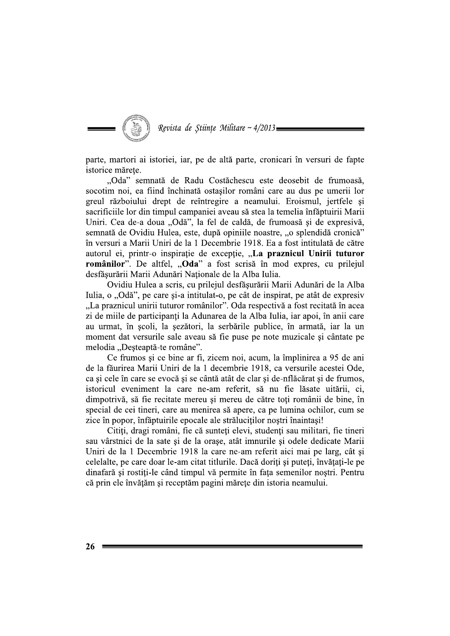

parte, martori ai istoriei, iar, pe de altă parte, cronicari în versuri de fapte istorice mărete.

"Oda" semnată de Radu Costăchescu este deosebit de frumoasă, socotim noi, ea fiind închinată ostasilor români care au dus pe umerii lor greul războiului drept de reîntregire a neamului. Eroismul, jertfele și sacrificiile lor din timpul campaniei aveau să stea la temelia înfăptuirii Marii Uniri. Cea de-a doua "Odă", la fel de caldă, de frumoasă și de expresivă, semnată de Ovidiu Hulea, este, după opiniile noastre, "o splendidă cronică" în versuri a Marii Uniri de la 1 Decembrie 1918. Ea a fost intitulată de către autorul ei, printr-o inspirație de excepție, "La praznicul Unirii tuturor românilor". De altfel, "Oda" a fost scrisă în mod expres, cu prilejul desfășurării Marii Adunări Naționale de la Alba Iulia.

Ovidiu Hulea a scris, cu prilejul desfășurării Marii Adunări de la Alba Iulia, o "Odă", pe care și-a intitulat-o, pe cât de inspirat, pe atât de expresiv "La praznicul unirii tuturor românilor". Oda respectivă a fost recitată în acea zi de miile de participanți la Adunarea de la Alba Iulia, iar apoi, în anii care au urmat, în școli, la șezători, la serbările publice, în armată, iar la un moment dat versurile sale aveau să fie puse pe note muzicale și cântate pe melodia "Desteaptă-te române".

Ce frumos și ce bine ar fi, zicem noi, acum, la împlinirea a 95 de ani de la făurirea Marii Uniri de la 1 decembrie 1918, ca versurile acestei Ode, ca și cele în care se evocă și se cântă atât de clar și de-nflăcărat și de frumos, istoricul eveniment la care ne-am referit, să nu fie lăsate uitării, ci, dimpotrivă, să fie recitate mereu și mereu de către toți românii de bine, în special de cei tineri, care au menirea să apere, ca pe lumina ochilor, cum se zice în popor, înfăptuirile epocale ale străluciților noștri înaintași!

Citiți, dragi români, fie că sunteți elevi, studenți sau militari, fie tineri sau vârstnici de la sate și de la orașe, atât imnurile și odele dedicate Marii Uniri de la 1 Decembrie 1918 la care ne-am referit aici mai pe larg, cât și celelalte, pe care doar le-am citat titlurile. Dacă doriți și puteți, învățați-le pe dinafară și rostiți-le când timpul vă permite în fața semenilor noștri. Pentru că prin ele învățăm și receptăm pagini mărețe din istoria neamului.